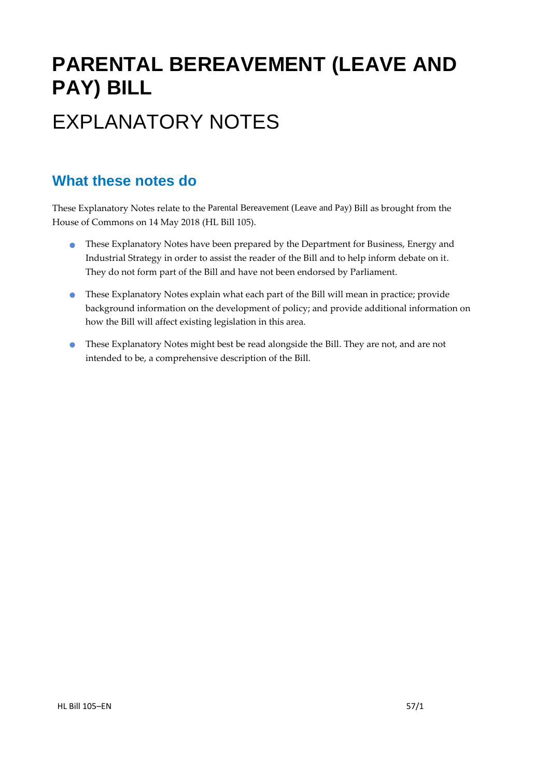# **PARENTAL BEREAVEMENT (LEAVE AND PAY) BILL** EXPLANATORY NOTES

### **What these notes do**

- **These Explanatory Notes have been prepared by the Department for Business, Energy and** Industrial Strategy in order to assist the reader of the Bill and to help inform debate on it. They do not form part of the Bill and have not been endorsed by Parliament.
- These Explanatory Notes explain what each part of the Bill will mean in practice; provide background information on the development of policy; and provide additional information on how the Bill will affect existing legislation in this area.
- These Explanatory Notes might best be read alongside the Bill. They are not, and are not intended to be, a comprehensive description of the Bill.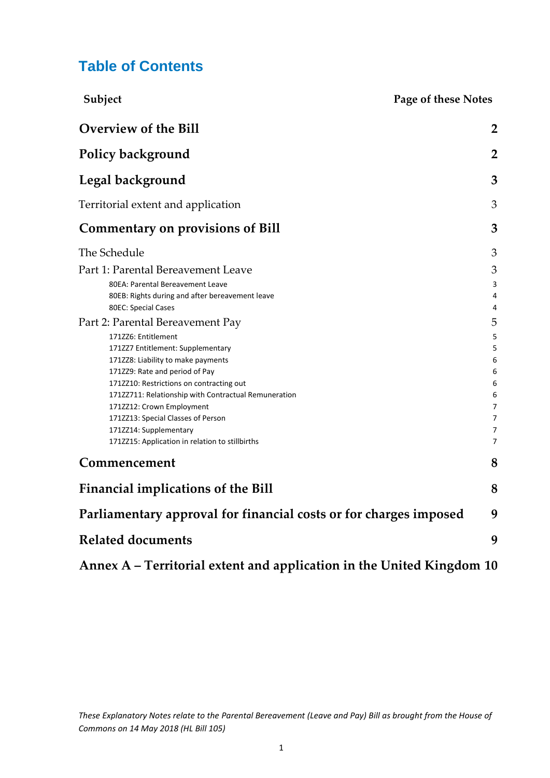### **Table of Contents**

| Subject<br><b>Page of these Notes</b>                             |                     |
|-------------------------------------------------------------------|---------------------|
| <b>Overview of the Bill</b>                                       | $\overline{2}$      |
| <b>Policy background</b>                                          | $\overline{2}$      |
| Legal background                                                  | 3                   |
| Territorial extent and application                                | 3                   |
| <b>Commentary on provisions of Bill</b>                           | 3                   |
| The Schedule                                                      | 3                   |
| Part 1: Parental Bereavement Leave                                | 3                   |
| 80EA: Parental Bereavement Leave                                  | 3                   |
| 80EB: Rights during and after bereavement leave                   | 4                   |
| 80EC: Special Cases                                               | 4                   |
| Part 2: Parental Bereavement Pay                                  | 5                   |
| 171ZZ6: Entitlement                                               | 5                   |
| 171ZZ7 Entitlement: Supplementary                                 | 5                   |
| 171228: Liability to make payments                                | 6                   |
| 171ZZ9: Rate and period of Pay                                    | 6                   |
| 1712210: Restrictions on contracting out                          | 6                   |
| 17122711: Relationship with Contractual Remuneration              | 6                   |
| 171ZZ12: Crown Employment<br>171ZZ13: Special Classes of Person   | $\overline{7}$<br>7 |
| 171ZZ14: Supplementary                                            | 7                   |
| 1712215: Application in relation to stillbirths                   | $\overline{7}$      |
| Commencement                                                      | 8                   |
| <b>Financial implications of the Bill</b>                         | 8                   |
| Parliamentary approval for financial costs or for charges imposed | 9                   |
| <b>Related documents</b>                                          | 9                   |

**Annex A – [Territorial extent and application in the United Kingdom](#page-10-0) 10**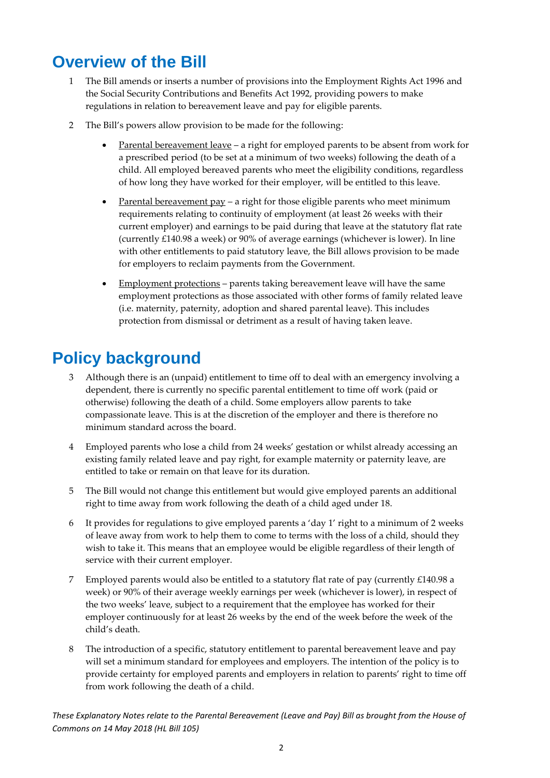## <span id="page-2-0"></span>**Overview of the Bill**

- 1 The Bill amends or inserts a number of provisions into the Employment Rights Act 1996 and the Social Security Contributions and Benefits Act 1992, providing powers to make regulations in relation to bereavement leave and pay for eligible parents.
- 2 The Bill's powers allow provision to be made for the following:
	- Parental bereavement leave a right for employed parents to be absent from work for a prescribed period (to be set at a minimum of two weeks) following the death of a child. All employed bereaved parents who meet the eligibility conditions, regardless of how long they have worked for their employer, will be entitled to this leave.
	- Parental bereavement pay a right for those eligible parents who meet minimum requirements relating to continuity of employment (at least 26 weeks with their current employer) and earnings to be paid during that leave at the statutory flat rate (currently £140.98 a week) or 90% of average earnings (whichever is lower). In line with other entitlements to paid statutory leave, the Bill allows provision to be made for employers to reclaim payments from the Government.
	- Employment protections parents taking bereavement leave will have the same employment protections as those associated with other forms of family related leave (i.e. maternity, paternity, adoption and shared parental leave). This includes protection from dismissal or detriment as a result of having taken leave.

## <span id="page-2-1"></span>**Policy background**

- 3 Although there is an (unpaid) entitlement to time off to deal with an emergency involving a dependent, there is currently no specific parental entitlement to time off work (paid or otherwise) following the death of a child. Some employers allow parents to take compassionate leave. This is at the discretion of the employer and there is therefore no minimum standard across the board.
- 4 Employed parents who lose a child from 24 weeks' gestation or whilst already accessing an existing family related leave and pay right, for example maternity or paternity leave, are entitled to take or remain on that leave for its duration.
- 5 The Bill would not change this entitlement but would give employed parents an additional right to time away from work following the death of a child aged under 18.
- 6 It provides for regulations to give employed parents a 'day 1' right to a minimum of 2 weeks of leave away from work to help them to come to terms with the loss of a child, should they wish to take it. This means that an employee would be eligible regardless of their length of service with their current employer.
- 7 Employed parents would also be entitled to a statutory flat rate of pay (currently £140.98 a week) or 90% of their average weekly earnings per week (whichever is lower), in respect of the two weeks' leave, subject to a requirement that the employee has worked for their employer continuously for at least 26 weeks by the end of the week before the week of the child's death.
- 8 The introduction of a specific, statutory entitlement to parental bereavement leave and pay will set a minimum standard for employees and employers. The intention of the policy is to provide certainty for employed parents and employers in relation to parents' right to time off from work following the death of a child.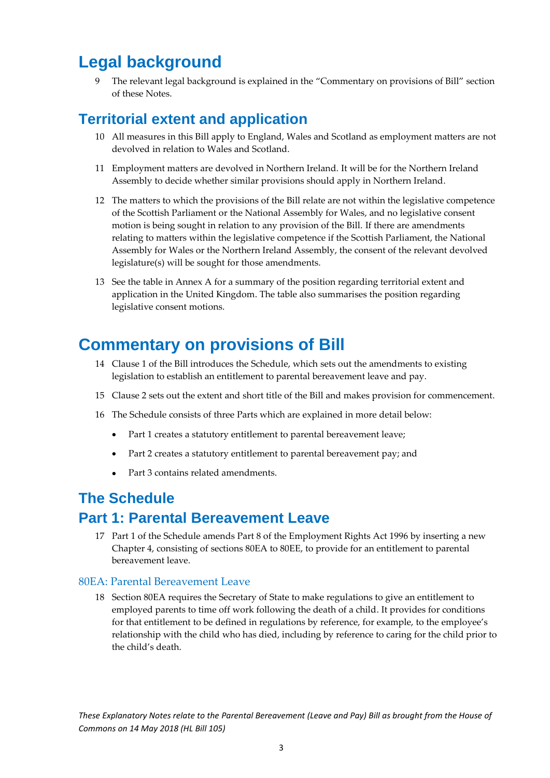## <span id="page-3-0"></span>**Legal background**

The relevant legal background is explained in the "Commentary on provisions of Bill" section of these Notes.

### <span id="page-3-1"></span>**Territorial extent and application**

- 10 All measures in this Bill apply to England, Wales and Scotland as employment matters are not devolved in relation to Wales and Scotland.
- 11 Employment matters are devolved in Northern Ireland. It will be for the Northern Ireland Assembly to decide whether similar provisions should apply in Northern Ireland.
- 12 The matters to which the provisions of the Bill relate are not within the legislative competence of the Scottish Parliament or the National Assembly for Wales, and no legislative consent motion is being sought in relation to any provision of the Bill. If there are amendments relating to matters within the legislative competence if the Scottish Parliament, the National Assembly for Wales or the Northern Ireland Assembly, the consent of the relevant devolved legislature(s) will be sought for those amendments.
- 13 See the table in Annex A for a summary of the position regarding territorial extent and application in the United Kingdom. The table also summarises the position regarding legislative consent motions.

## <span id="page-3-2"></span>**Commentary on provisions of Bill**

- 14 Clause 1 of the Bill introduces the Schedule, which sets out the amendments to existing legislation to establish an entitlement to parental bereavement leave and pay.
- 15 Clause 2 sets out the extent and short title of the Bill and makes provision for commencement.
- 16 The Schedule consists of three Parts which are explained in more detail below:
	- Part 1 creates a statutory entitlement to parental bereavement leave;
	- Part 2 creates a statutory entitlement to parental bereavement pay; and
	- Part 3 contains related amendments

### <span id="page-3-3"></span>**The Schedule**

### <span id="page-3-4"></span>**Part 1: Parental Bereavement Leave**

17 Part 1 of the Schedule amends Part 8 of the Employment Rights Act 1996 by inserting a new Chapter 4, consisting of sections 80EA to 80EE, to provide for an entitlement to parental bereavement leave.

#### <span id="page-3-5"></span>80EA: Parental Bereavement Leave

18 Section 80EA requires the Secretary of State to make regulations to give an entitlement to employed parents to time off work following the death of a child. It provides for conditions for that entitlement to be defined in regulations by reference, for example, to the employee's relationship with the child who has died, including by reference to caring for the child prior to the child's death.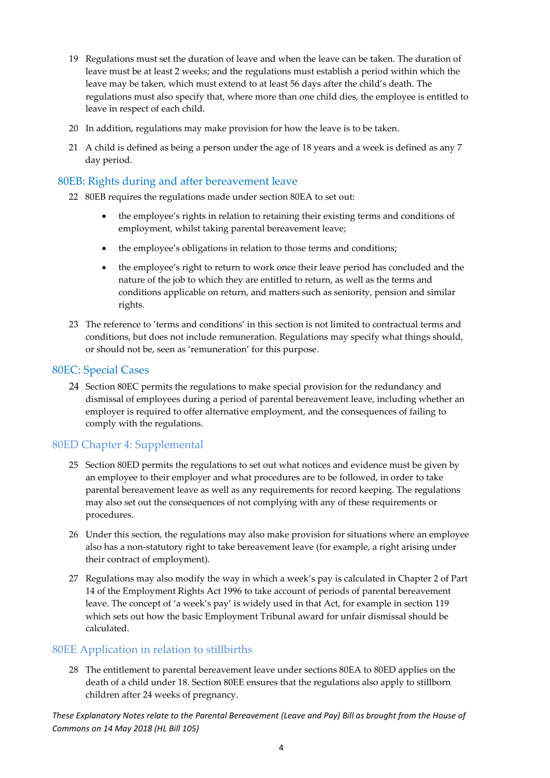- 19 Regulations must set the duration of leave and when the leave can be taken. The duration of leave must be at least 2 weeks; and the regulations must establish a period within which the leave may be taken, which must extend to at least 56 days after the child's death. The regulations must also specify that, where more than one child dies, the employee is entitled to leave in respect of each child.
- 20 In addition, regulations may make provision for how the leave is to be taken.
- 21 A child is defined as being a person under the age of 18 years and a week is defined as any 7 day period.

#### <span id="page-4-0"></span>80EB: Rights during and after bereavement leave

- 22 80EB requires the regulations made under section 80EA to set out:
	- the employee's rights in relation to retaining their existing terms and conditions of employment, whilst taking parental bereavement leave;
	- the employee's obligations in relation to those terms and conditions;
	- the employee's right to return to work once their leave period has concluded and the nature of the job to which they are entitled to return, as well as the terms and conditions applicable on return, and matters such as seniority, pension and similar rights.
- 23 The reference to 'terms and conditions' in this section is not limited to contractual terms and conditions, but does not include remuneration. Regulations may specify what things should, or should not be, seen as 'remuneration' for this purpose.

#### <span id="page-4-1"></span>80EC: Special Cases

24 Section 80EC permits the regulations to make special provision for the redundancy and dismissal of employees during a period of parental bereavement leave, including whether an employer is required to offer alternative employment, and the consequences of failing to comply with the regulations.

#### 80ED Chapter 4: Supplemental

- 25 Section 80ED permits the regulations to set out what notices and evidence must be given by an employee to their employer and what procedures are to be followed, in order to take parental bereavement leave as well as any requirements for record keeping. The regulations may also set out the consequences of not complying with any of these requirements or procedures.
- 26 Under this section, the regulations may also make provision for situations where an employee also has a non-statutory right to take bereavement leave (for example, a right arising under their contract of employment).
- 27 Regulations may also modify the way in which a week's pay is calculated in Chapter 2 of Part 14 of the Employment Rights Act 1996 to take account of periods of parental bereavement leave. The concept of 'a week's pay' is widely used in that Act, for example in section 119 which sets out how the basic Employment Tribunal award for unfair dismissal should be calculated.

#### 80EE Application in relation to stillbirths

28 The entitlement to parental bereavement leave under sections 80EA to 80ED applies on the death of a child under 18. Section 80EE ensures that the regulations also apply to stillborn children after 24 weeks of pregnancy.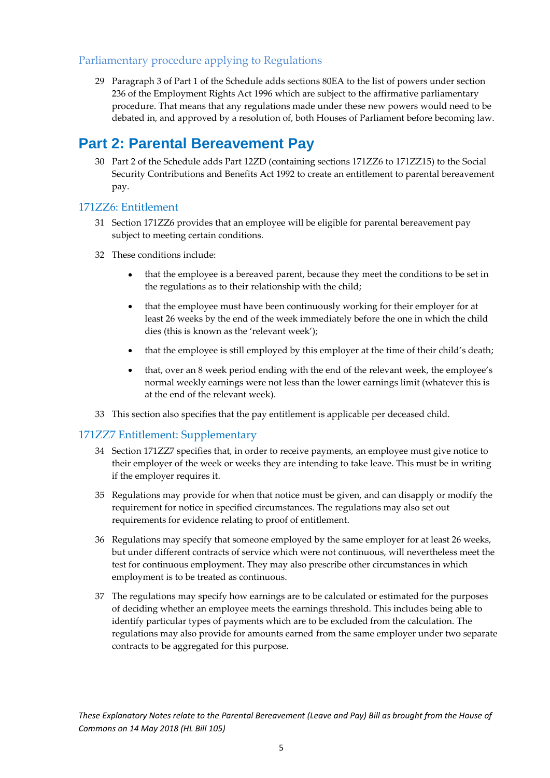#### Parliamentary procedure applying to Regulations

29 Paragraph 3 of Part 1 of the Schedule adds sections 80EA to the list of powers under section 236 of the Employment Rights Act 1996 which are subject to the affirmative parliamentary procedure. That means that any regulations made under these new powers would need to be debated in, and approved by a resolution of, both Houses of Parliament before becoming law.

### <span id="page-5-0"></span>**Part 2: Parental Bereavement Pay**

30 Part 2 of the Schedule adds Part 12ZD (containing sections 171ZZ6 to 171ZZ15) to the Social Security Contributions and Benefits Act 1992 to create an entitlement to parental bereavement pay.

#### <span id="page-5-1"></span>171ZZ6: Entitlement

- 31 Section 171ZZ6 provides that an employee will be eligible for parental bereavement pay subject to meeting certain conditions.
- 32 These conditions include:
	- that the employee is a bereaved parent, because they meet the conditions to be set in the regulations as to their relationship with the child;
	- that the employee must have been continuously working for their employer for at least 26 weeks by the end of the week immediately before the one in which the child dies (this is known as the 'relevant week');
	- that the employee is still employed by this employer at the time of their child's death;
	- that, over an 8 week period ending with the end of the relevant week, the employee's normal weekly earnings were not less than the lower earnings limit (whatever this is at the end of the relevant week).
- 33 This section also specifies that the pay entitlement is applicable per deceased child.

#### <span id="page-5-2"></span>171ZZ7 Entitlement: Supplementary

- 34 Section 171ZZ7 specifies that, in order to receive payments, an employee must give notice to their employer of the week or weeks they are intending to take leave. This must be in writing if the employer requires it.
- 35 Regulations may provide for when that notice must be given, and can disapply or modify the requirement for notice in specified circumstances. The regulations may also set out requirements for evidence relating to proof of entitlement.
- 36 Regulations may specify that someone employed by the same employer for at least 26 weeks, but under different contracts of service which were not continuous, will nevertheless meet the test for continuous employment. They may also prescribe other circumstances in which employment is to be treated as continuous.
- 37 The regulations may specify how earnings are to be calculated or estimated for the purposes of deciding whether an employee meets the earnings threshold. This includes being able to identify particular types of payments which are to be excluded from the calculation. The regulations may also provide for amounts earned from the same employer under two separate contracts to be aggregated for this purpose.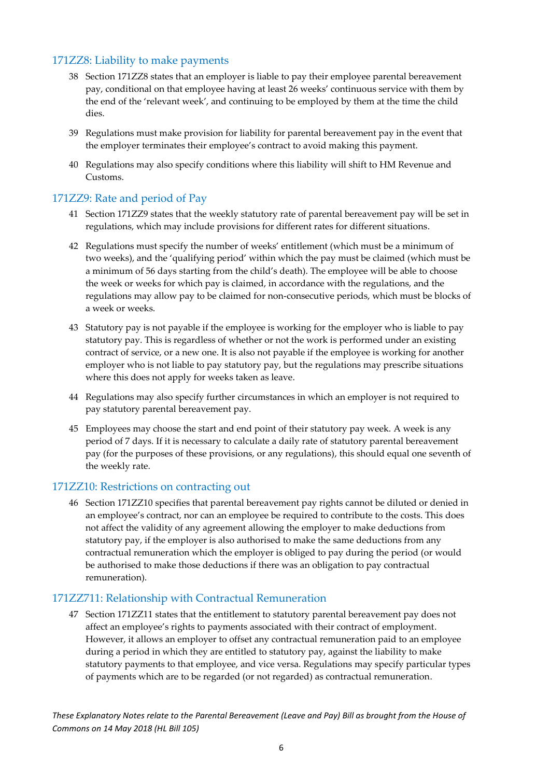#### <span id="page-6-0"></span>171ZZ8: Liability to make payments

- 38 Section 171ZZ8 states that an employer is liable to pay their employee parental bereavement pay, conditional on that employee having at least 26 weeks' continuous service with them by the end of the 'relevant week', and continuing to be employed by them at the time the child dies.
- 39 Regulations must make provision for liability for parental bereavement pay in the event that the employer terminates their employee's contract to avoid making this payment.
- 40 Regulations may also specify conditions where this liability will shift to HM Revenue and Customs.

#### <span id="page-6-1"></span>171ZZ9: Rate and period of Pay

- 41 Section 171ZZ9 states that the weekly statutory rate of parental bereavement pay will be set in regulations, which may include provisions for different rates for different situations.
- 42 Regulations must specify the number of weeks' entitlement (which must be a minimum of two weeks), and the 'qualifying period' within which the pay must be claimed (which must be a minimum of 56 days starting from the child's death). The employee will be able to choose the week or weeks for which pay is claimed, in accordance with the regulations, and the regulations may allow pay to be claimed for non-consecutive periods, which must be blocks of a week or weeks.
- 43 Statutory pay is not payable if the employee is working for the employer who is liable to pay statutory pay. This is regardless of whether or not the work is performed under an existing contract of service, or a new one. It is also not payable if the employee is working for another employer who is not liable to pay statutory pay, but the regulations may prescribe situations where this does not apply for weeks taken as leave.
- 44 Regulations may also specify further circumstances in which an employer is not required to pay statutory parental bereavement pay.
- 45 Employees may choose the start and end point of their statutory pay week. A week is any period of 7 days. If it is necessary to calculate a daily rate of statutory parental bereavement pay (for the purposes of these provisions, or any regulations), this should equal one seventh of the weekly rate.

#### <span id="page-6-2"></span>171ZZ10: Restrictions on contracting out

46 Section 171ZZ10 specifies that parental bereavement pay rights cannot be diluted or denied in an employee's contract, nor can an employee be required to contribute to the costs. This does not affect the validity of any agreement allowing the employer to make deductions from statutory pay, if the employer is also authorised to make the same deductions from any contractual remuneration which the employer is obliged to pay during the period (or would be authorised to make those deductions if there was an obligation to pay contractual remuneration).

#### <span id="page-6-3"></span>171ZZ711: Relationship with Contractual Remuneration

47 Section 171ZZ11 states that the entitlement to statutory parental bereavement pay does not affect an employee's rights to payments associated with their contract of employment. However, it allows an employer to offset any contractual remuneration paid to an employee during a period in which they are entitled to statutory pay, against the liability to make statutory payments to that employee, and vice versa. Regulations may specify particular types of payments which are to be regarded (or not regarded) as contractual remuneration.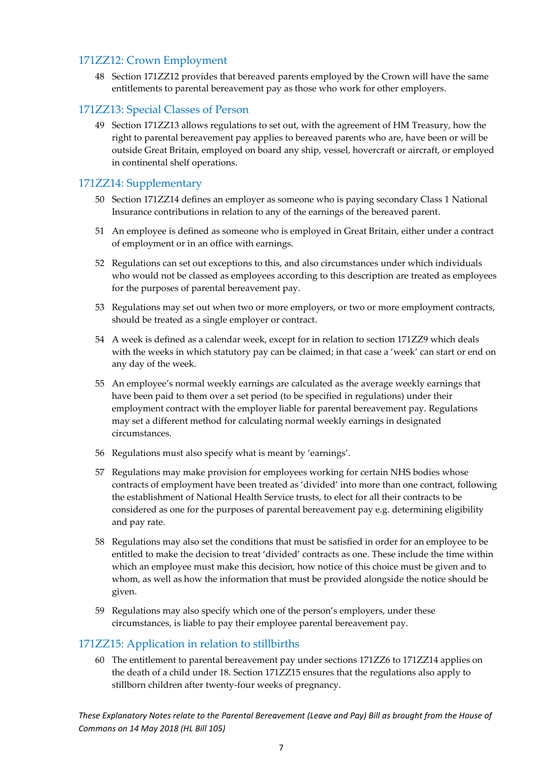#### <span id="page-7-0"></span>171ZZ12: Crown Employment

48 Section 171ZZ12 provides that bereaved parents employed by the Crown will have the same entitlements to parental bereavement pay as those who work for other employers.

#### <span id="page-7-1"></span>171ZZ13: Special Classes of Person

49 Section 171ZZ13 allows regulations to set out, with the agreement of HM Treasury, how the right to parental bereavement pay applies to bereaved parents who are, have been or will be outside Great Britain, employed on board any ship, vessel, hovercraft or aircraft, or employed in continental shelf operations.

#### <span id="page-7-2"></span>171ZZ14: Supplementary

- 50 Section 171ZZ14 defines an employer as someone who is paying secondary Class 1 National Insurance contributions in relation to any of the earnings of the bereaved parent.
- 51 An employee is defined as someone who is employed in Great Britain, either under a contract of employment or in an office with earnings.
- 52 Regulations can set out exceptions to this, and also circumstances under which individuals who would not be classed as employees according to this description are treated as employees for the purposes of parental bereavement pay.
- 53 Regulations may set out when two or more employers, or two or more employment contracts, should be treated as a single employer or contract.
- 54 A week is defined as a calendar week, except for in relation to section 171ZZ9 which deals with the weeks in which statutory pay can be claimed; in that case a 'week' can start or end on any day of the week.
- 55 An employee's normal weekly earnings are calculated as the average weekly earnings that have been paid to them over a set period (to be specified in regulations) under their employment contract with the employer liable for parental bereavement pay. Regulations may set a different method for calculating normal weekly earnings in designated circumstances.
- 56 Regulations must also specify what is meant by 'earnings'.
- 57 Regulations may make provision for employees working for certain NHS bodies whose contracts of employment have been treated as 'divided' into more than one contract, following the establishment of National Health Service trusts, to elect for all their contracts to be considered as one for the purposes of parental bereavement pay e.g. determining eligibility and pay rate.
- 58 Regulations may also set the conditions that must be satisfied in order for an employee to be entitled to make the decision to treat 'divided' contracts as one. These include the time within which an employee must make this decision, how notice of this choice must be given and to whom, as well as how the information that must be provided alongside the notice should be given.
- 59 Regulations may also specify which one of the person's employers, under these circumstances, is liable to pay their employee parental bereavement pay.

#### <span id="page-7-3"></span>171ZZ15: Application in relation to stillbirths

60 The entitlement to parental bereavement pay under sections 171ZZ6 to 171ZZ14 applies on the death of a child under 18. Section 171ZZ15 ensures that the regulations also apply to stillborn children after twenty-four weeks of pregnancy.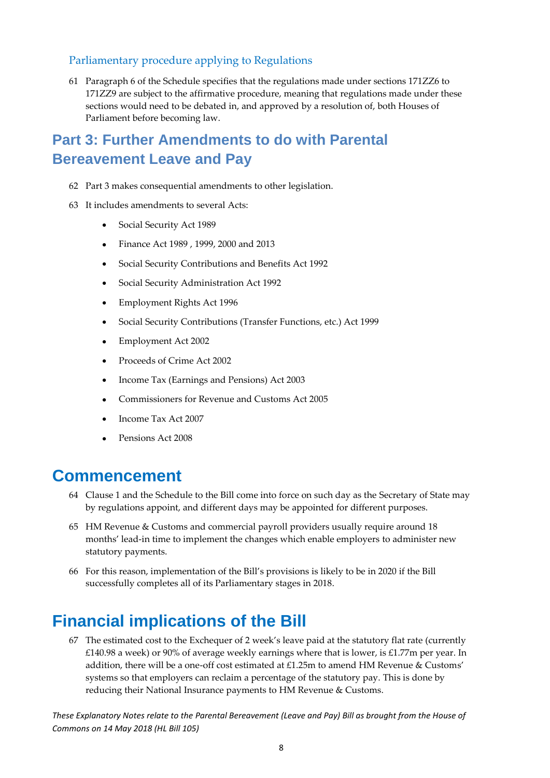#### Parliamentary procedure applying to Regulations

61 Paragraph 6 of the Schedule specifies that the regulations made under sections 171ZZ6 to 171ZZ9 are subject to the affirmative procedure, meaning that regulations made under these sections would need to be debated in, and approved by a resolution of, both Houses of Parliament before becoming law.

### **Part 3: Further Amendments to do with Parental Bereavement Leave and Pay**

- 62 Part 3 makes consequential amendments to other legislation.
- 63 It includes amendments to several Acts:
	- Social Security Act 1989
	- Finance Act 1989 , 1999, 2000 and 2013
	- Social Security Contributions and Benefits Act 1992
	- Social Security Administration Act 1992
	- Employment Rights Act 1996
	- Social Security Contributions (Transfer Functions, etc.) Act 1999
	- Employment Act 2002
	- Proceeds of Crime Act 2002
	- Income Tax (Earnings and Pensions) Act 2003
	- Commissioners for Revenue and Customs Act 2005
	- Income Tax Act 2007
	- Pensions Act 2008

### <span id="page-8-0"></span>**Commencement**

- 64 Clause 1 and the Schedule to the Bill come into force on such day as the Secretary of State may by regulations appoint, and different days may be appointed for different purposes.
- 65 HM Revenue & Customs and commercial payroll providers usually require around 18 months' lead-in time to implement the changes which enable employers to administer new statutory payments.
- 66 For this reason, implementation of the Bill's provisions is likely to be in 2020 if the Bill successfully completes all of its Parliamentary stages in 2018.

## <span id="page-8-1"></span>**Financial implications of the Bill**

67 The estimated cost to the Exchequer of 2 week's leave paid at the statutory flat rate (currently £140.98 a week) or 90% of average weekly earnings where that is lower, is £1.77m per year. In addition, there will be a one-off cost estimated at £1.25m to amend HM Revenue & Customs' systems so that employers can reclaim a percentage of the statutory pay. This is done by reducing their National Insurance payments to HM Revenue & Customs.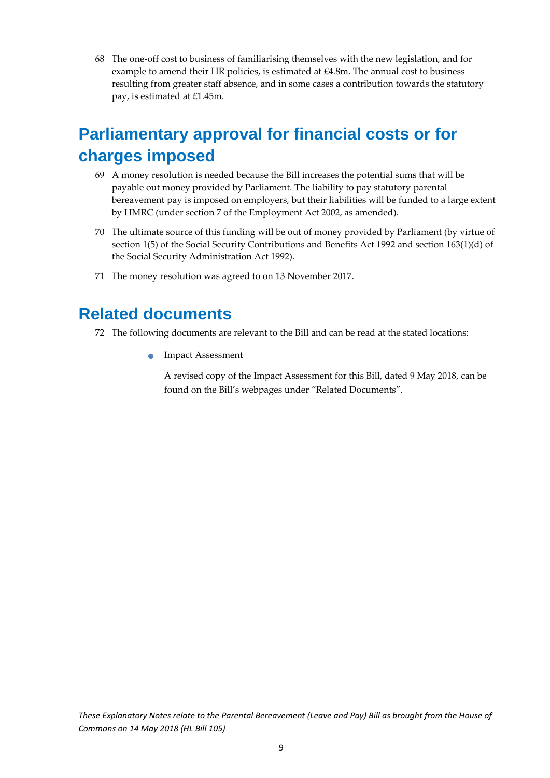68 The one-off cost to business of familiarising themselves with the new legislation, and for example to amend their HR policies, is estimated at £4.8m. The annual cost to business resulting from greater staff absence, and in some cases a contribution towards the statutory pay, is estimated at £1.45m.

## <span id="page-9-0"></span>**Parliamentary approval for financial costs or for charges imposed**

- 69 A money resolution is needed because the Bill increases the potential sums that will be payable out money provided by Parliament. The liability to pay statutory parental bereavement pay is imposed on employers, but their liabilities will be funded to a large extent by HMRC (under section 7 of the Employment Act 2002, as amended).
- 70 The ultimate source of this funding will be out of money provided by Parliament (by virtue of section 1(5) of the Social Security Contributions and Benefits Act 1992 and section 163(1)(d) of the Social Security Administration Act 1992).
- 71 The money resolution was agreed to on 13 November 2017.

### <span id="page-9-1"></span>**Related documents**

- 72 The following documents are relevant to the Bill and can be read at the stated locations:
	- **Impact Assessment**

A revised copy of the Impact Assessment for this Bill, dated 9 May 2018, can be found on the Bill's webpages under "Related Documents".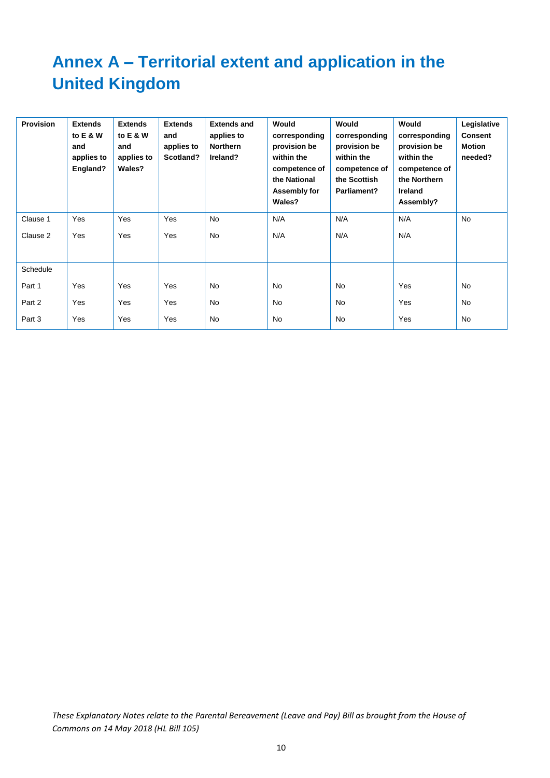## <span id="page-10-0"></span>**Annex A – Territorial extent and application in the United Kingdom**

| <b>Provision</b> | <b>Extends</b><br>to E & W<br>and<br>applies to<br>England? | <b>Extends</b><br>to E & W<br>and<br>applies to<br>Wales? | <b>Extends</b><br>and<br>applies to<br>Scotland? | <b>Extends and</b><br>applies to<br><b>Northern</b><br>Ireland? | Would<br>corresponding<br>provision be<br>within the<br>competence of<br>the National<br>Assembly for<br>Wales? | Would<br>corresponding<br>provision be<br>within the<br>competence of<br>the Scottish<br>Parliament? | Would<br>corresponding<br>provision be<br>within the<br>competence of<br>the Northern<br>Ireland<br>Assembly? | Legislative<br><b>Consent</b><br>Motion<br>needed? |
|------------------|-------------------------------------------------------------|-----------------------------------------------------------|--------------------------------------------------|-----------------------------------------------------------------|-----------------------------------------------------------------------------------------------------------------|------------------------------------------------------------------------------------------------------|---------------------------------------------------------------------------------------------------------------|----------------------------------------------------|
| Clause 1         | Yes                                                         | Yes                                                       | Yes                                              | <b>No</b>                                                       | N/A                                                                                                             | N/A                                                                                                  | N/A                                                                                                           | No                                                 |
| Clause 2         | Yes                                                         | Yes                                                       | Yes                                              | No                                                              | N/A                                                                                                             | N/A                                                                                                  | N/A                                                                                                           |                                                    |
| Schedule         |                                                             |                                                           |                                                  |                                                                 |                                                                                                                 |                                                                                                      |                                                                                                               |                                                    |
| Part 1           | Yes                                                         | Yes                                                       | Yes                                              | No.                                                             | <b>No</b>                                                                                                       | No                                                                                                   | Yes                                                                                                           | <b>No</b>                                          |
| Part 2           | Yes                                                         | Yes                                                       | Yes                                              | No.                                                             | <b>No</b>                                                                                                       | <b>No</b>                                                                                            | Yes                                                                                                           | No                                                 |
| Part 3           | Yes                                                         | Yes                                                       | Yes                                              | No.                                                             | <b>No</b>                                                                                                       | <b>No</b>                                                                                            | Yes                                                                                                           | <b>No</b>                                          |